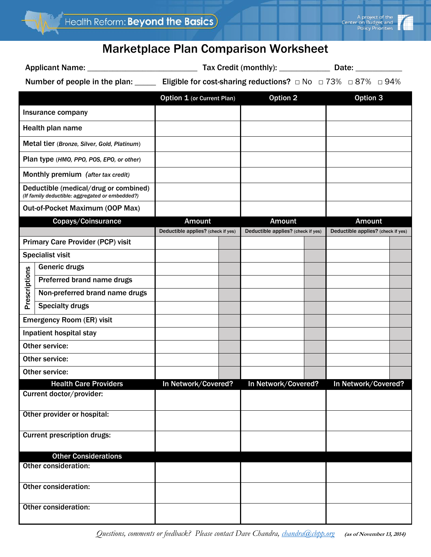

## Marketplace Plan Comparison Worksheet

Applicant Name: \_\_\_\_\_\_\_\_\_\_\_\_\_\_\_\_\_\_\_\_\_\_\_\_\_\_ Tax Credit (monthly): \_\_\_\_\_\_\_\_\_\_\_\_ Date: \_\_\_\_\_\_\_\_\_\_\_

Number of people in the plan: \_\_\_\_\_ Eligible for cost-sharing reductions? □ No □ 73% □ 87% □ 94%

|                                                                                          |                                | Option 1 (or Current Plan)         |  | Option 2                           |  | <b>Option 3</b>                    |  |
|------------------------------------------------------------------------------------------|--------------------------------|------------------------------------|--|------------------------------------|--|------------------------------------|--|
| Insurance company                                                                        |                                |                                    |  |                                    |  |                                    |  |
| Health plan name                                                                         |                                |                                    |  |                                    |  |                                    |  |
| Metal tier (Bronze, Silver, Gold, Platinum)                                              |                                |                                    |  |                                    |  |                                    |  |
| Plan type (HMO, PPO, POS, EPO, or other)                                                 |                                |                                    |  |                                    |  |                                    |  |
| Monthly premium (after tax credit)                                                       |                                |                                    |  |                                    |  |                                    |  |
| Deductible (medical/drug or combined)<br>(If family deductible: aggregated or embedded?) |                                |                                    |  |                                    |  |                                    |  |
| Out-of-Pocket Maximum (OOP Max)                                                          |                                |                                    |  |                                    |  |                                    |  |
| Copays/Coinsurance                                                                       |                                | <b>Amount</b>                      |  | <b>Amount</b>                      |  | <b>Amount</b>                      |  |
|                                                                                          |                                | Deductible applies? (check if yes) |  | Deductible applies? (check if yes) |  | Deductible applies? (check if yes) |  |
| <b>Primary Care Provider (PCP) visit</b>                                                 |                                |                                    |  |                                    |  |                                    |  |
|                                                                                          | <b>Specialist visit</b>        |                                    |  |                                    |  |                                    |  |
|                                                                                          | Generic drugs                  |                                    |  |                                    |  |                                    |  |
| Prescriptions                                                                            | Preferred brand name drugs     |                                    |  |                                    |  |                                    |  |
|                                                                                          | Non-preferred brand name drugs |                                    |  |                                    |  |                                    |  |
|                                                                                          | <b>Specialty drugs</b>         |                                    |  |                                    |  |                                    |  |
| <b>Emergency Room (ER) visit</b>                                                         |                                |                                    |  |                                    |  |                                    |  |
| Inpatient hospital stay                                                                  |                                |                                    |  |                                    |  |                                    |  |
| Other service:                                                                           |                                |                                    |  |                                    |  |                                    |  |
| Other service:                                                                           |                                |                                    |  |                                    |  |                                    |  |
| Other service:                                                                           |                                |                                    |  |                                    |  |                                    |  |
| <b>Health Care Providers</b><br>Current doctor/provider:                                 |                                | In Network/Covered?                |  | In Network/Covered?                |  | In Network/Covered?                |  |
| Other provider or hospital:                                                              |                                |                                    |  |                                    |  |                                    |  |
| <b>Current prescription drugs:</b>                                                       |                                |                                    |  |                                    |  |                                    |  |
| <b>Other Considerations</b>                                                              |                                |                                    |  |                                    |  |                                    |  |
| Other consideration:                                                                     |                                |                                    |  |                                    |  |                                    |  |
| <b>Other consideration:</b>                                                              |                                |                                    |  |                                    |  |                                    |  |
| Other consideration:                                                                     |                                |                                    |  |                                    |  |                                    |  |